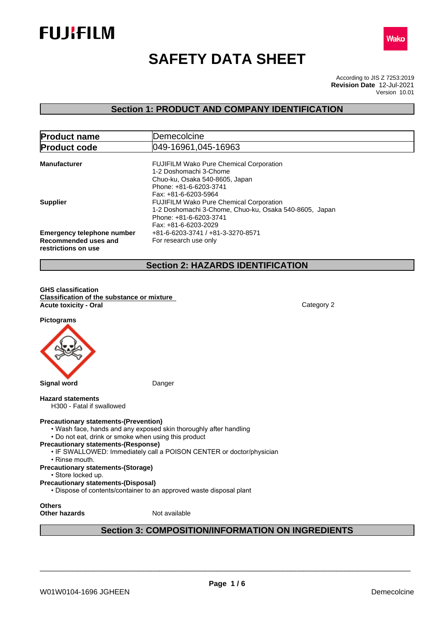



# **SAFETY DATA SHEET**

According to JIS Z 7253:2019 Version 10.01 **Revision Date** 12-Jul-2021

## **Section 1: PRODUCT AND COMPANY IDENTIFICATION**

| <b>Product name</b>                                                              | Demecolcine                                                                                                                                                |  |
|----------------------------------------------------------------------------------|------------------------------------------------------------------------------------------------------------------------------------------------------------|--|
| <b>Product code</b>                                                              | 049-16961,045-16963                                                                                                                                        |  |
| <b>Manufacturer</b>                                                              | <b>FUJIFILM Wako Pure Chemical Corporation</b><br>1-2 Doshomachi 3-Chome<br>Chuo-ku, Osaka 540-8605, Japan<br>Phone: +81-6-6203-3741                       |  |
| <b>Supplier</b>                                                                  | Fax: +81-6-6203-5964<br><b>FUJIFILM Wako Pure Chemical Corporation</b><br>1-2 Doshomachi 3-Chome, Chuo-ku, Osaka 540-8605, Japan<br>Phone: +81-6-6203-3741 |  |
| <b>Emergency telephone number</b><br>Recommended uses and<br>restrictions on use | Fax: +81-6-6203-2029<br>+81-6-6203-3741 / +81-3-3270-8571<br>For research use only                                                                         |  |

## **Section 2: HAZARDS IDENTIFICATION**

**GHS classification Classification of the substance or mixture Acute toxicity - Oral** Category 2

**Pictograms**



#### **Hazard statements**

H300 - Fatal if swallowed

#### **Precautionary statements-(Prevention)**

- Wash face, hands and any exposed skin thoroughly after handling
- Do not eat, drink or smoke when using this product
- **Precautionary statements-(Response)**
	- IF SWALLOWED: Immediately call a POISON CENTER or doctor/physician
		- Rinse mouth.
- **Precautionary statements-(Storage)**
- Store locked up.
- **Precautionary statements-(Disposal)**
- Dispose of contents/container to an approved waste disposal plant

**Others**

**Other hazards** Not available

## **Section 3: COMPOSITION/INFORMATION ON INGREDIENTS**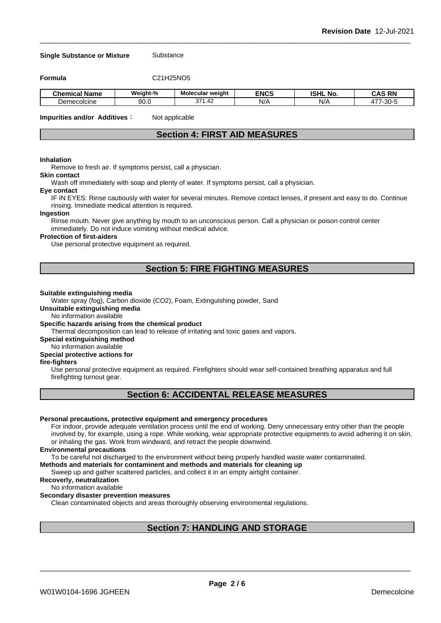#### **Single Substance or Mixture** Substance

**Formula** C21H25NO5

| <b>Chemical</b><br>.<br>' Name | Weight-% | Molecular weight | <b>ENCS</b> | <b>ISHL No.</b> | <b>RN</b><br>r∧c<br><b>UMQ</b> |
|--------------------------------|----------|------------------|-------------|-----------------|--------------------------------|
| Demecolcine                    | 90.0     | 271<br>.42       | $N$ /       | NI/<br>'NI.     | $\sim$<br>$- -$<br>ບບ          |

**Impurities and/or Additives**: Not applicable

## **Section 4: FIRST AID MEASURES**

#### **Inhalation**

Remove to fresh air. If symptoms persist, call a physician.

### **Skin contact**

Wash off immediately with soap and plenty of water. If symptoms persist, calla physician.

#### **Eye contact**

IF IN EYES: Rinse cautiously with water for several minutes. Remove contact lenses, if present and easy to do. Continue rinsing. Immediate medical attention is required.

#### **Ingestion**

Rinse mouth. Never give anything by mouth to an unconscious person. Call a physician or poison control center immediately. Do not induce vomiting without medical advice.

#### **Protection of first-aiders**

Use personal protective equipment as required.

### **Section 5: FIRE FIGHTING MEASURES**

#### **Suitable extinguishing media**

Water spray (fog), Carbon dioxide (CO2), Foam, Extinguishing powder, Sand

**Unsuitable extinguishing media**

No information available

#### **Specific hazards arising from the chemical product**

Thermal decomposition can lead to release of irritating and toxic gases and vapors.

**Special extinguishing method**

#### No information available

#### **Special protective actions for**

#### **fire-fighters**

Use personal protective equipment as required.Firefighters should wear self-contained breathing apparatus and full firefighting turnout gear.

### **Section 6: ACCIDENTAL RELEASE MEASURES**

#### **Personal precautions, protective equipment and emergency procedures**

For indoor, provide adequate ventilation process until the end of working. Deny unnecessary entry other than the people involved by, for example, using a rope. While working, wear appropriate protective equipments to avoid adhering it on skin, or inhaling the gas. Work from windward, and retract the people downwind.

#### **Environmental precautions**

To be careful not discharged to the environment without being properly handled waste water contaminated.

#### **Methods and materials for contaminent and methods and materials for cleaning up**

Sweep up and gather scattered particles, and collect it in an empty airtight container.

#### **Recoverly, neutralization**

#### No information available

#### **Secondary disaster prevention measures**

Clean contaminated objects and areas thoroughly observing environmental regulations.

### **Section 7: HANDLING AND STORAGE**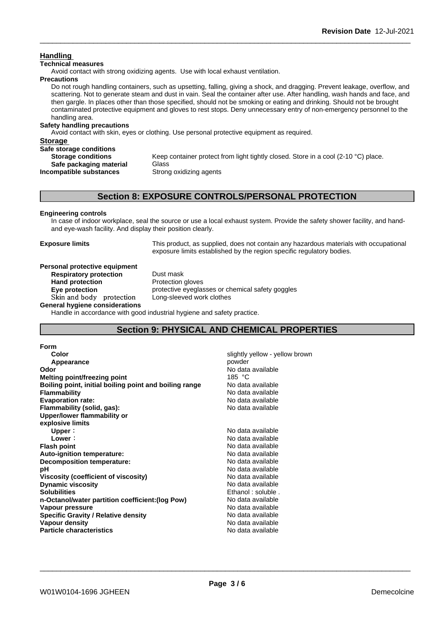### **Handling**

#### **Technical measures**

Avoid contact with strong oxidizing agents. Use with local exhaust ventilation.

#### **Precautions**

Do not rough handling containers, such as upsetting, falling, giving a shock, and dragging. Prevent leakage, overflow, and scattering. Not to generate steam and dust in vain. Seal the container after use. After handling, wash hands and face, and then gargle. In places other than those specified, should not be smoking or eating and drinking. Should not be brought contaminated protective equipment and gloves to rest stops. Deny unnecessary entry of non-emergency personnel to the handling area.

### **Safety handling precautions**

Avoid contact with skin, eyes or clothing. Use personal protective equipment as required.

### **Storage Safe storage conditions Storage conditions** Keep container protect from light tightly closed. Store in a cool (2-10 °C) place. **Safe packaging material** Glass **Incompatible substances** Strong oxidizing agents

### **Section 8: EXPOSURE CONTROLS/PERSONAL PROTECTION**

### **Engineering controls**

In case of indoor workplace, seal the source or use a local exhaust system. Provide the safety shower facility, and handand eye-wash facility. And display their position clearly.

**Exposure limits** This product, as supplied, does not contain any hazardous materials with occupational exposure limits established by the region specific regulatory bodies.

#### **Personal protective equipment**<br>**Respiratory protection** Dust mask **Respiratory** protection

**Hand protection** Protection gloves **Eye protection Eye protective** eyeglasses or chemical safety goggles **Skinandbody protection** Long-sleeved work clothes

**General hygiene considerations**

Handle in accordance with good industrial hygiene and safety practice.

### **Section 9: PHYSICAL AND CHEMICAL PROPERTIES**

#### **Form**

| Color                                                  | slightly yellow - yellow brown |
|--------------------------------------------------------|--------------------------------|
| Appearance                                             | powder                         |
| Odor                                                   | No data available              |
| Melting point/freezing point                           | 185 $°C$                       |
| Boiling point, initial boiling point and boiling range | No data available              |
| <b>Flammability</b>                                    | No data available              |
| <b>Evaporation rate:</b>                               | No data available              |
| Flammability (solid, gas):                             | No data available              |
| Upper/lower flammability or                            |                                |
| explosive limits                                       |                                |
| Upper:                                                 | No data available              |
| Lower:                                                 | No data available              |
| <b>Flash point</b>                                     | No data available              |
| Auto-ignition temperature:                             | No data available              |
| Decomposition temperature:                             | No data available              |
| рH                                                     | No data available              |
| Viscosity (coefficient of viscosity)                   | No data available              |
| <b>Dynamic viscosity</b>                               | No data available              |
| <b>Solubilities</b>                                    | Ethanol: soluble.              |
| n-Octanol/water partition coefficient: (log Pow)       | No data available              |
| Vapour pressure                                        | No data available              |
| <b>Specific Gravity / Relative density</b>             | No data available              |
| Vapour density                                         | No data available              |
| <b>Particle characteristics</b>                        | No data available              |
|                                                        |                                |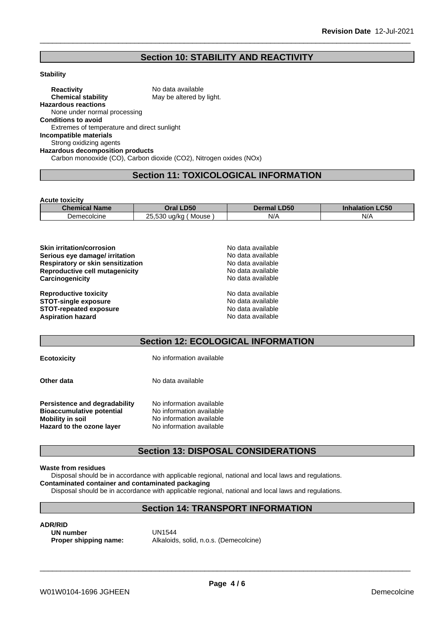### **Section 10: STABILITY AND REACTIVITY**

#### **Stability**

**Reactivity** No data available **Chemical stability** May be altered by light. **Hazardous reactions** None under normal processing **Conditions to avoid** Extremes of temperature and direct sunlight **Incompatible materials** Strong oxidizing agents **Hazardous decomposition products** Carbon monooxide (CO), Carbon dioxide (CO2), Nitrogen oxides (NOx)

### **Section 11: TOXICOLOGICAL INFORMATION**

**Acute toxicity**

| <b>Chemical Name</b> | <b>LD50</b><br>Dral                        | <b>LD50</b><br>Dermal   | CEN<br><b>Inhalation</b><br>-con |
|----------------------|--------------------------------------------|-------------------------|----------------------------------|
| Demecolcine          | nг<br>.530<br>ua/ka<br>Mouse<br>، ب<br>. . | $N/\Delta$<br>$\cdot$ . | N/A                              |

| No data available |  |
|-------------------|--|
| No data available |  |
| No data available |  |
| No data available |  |
| No data available |  |
| No data available |  |
| No data available |  |
| No data available |  |
| No data available |  |
|                   |  |

### **Section 12: ECOLOGICAL INFORMATION**

| <b>Ecotoxicity</b>                                                | No information available                             |
|-------------------------------------------------------------------|------------------------------------------------------|
| Other data                                                        | No data available                                    |
| Persistence and degradability<br><b>Bioaccumulative potential</b> | No information available<br>No information available |
| <b>Mobility in soil</b>                                           | No information available                             |
| Hazard to the ozone layer                                         | No information available                             |

### **Section 13: DISPOSAL CONSIDERATIONS**

#### **Waste from residues**

Disposal should be in accordance with applicable regional, national and local laws and regulations.

**Contaminated container and contaminated packaging**

Disposal should be in accordance with applicable regional, national and local laws and regulations.

### **Section 14: TRANSPORT INFORMATION**

**ADR/RID**<br>**IIN number** (IN1544) **UN number<br>Proper shipping name:** 

**Proper shipping name:** Alkaloids, solid, n.o.s. (Demecolcine)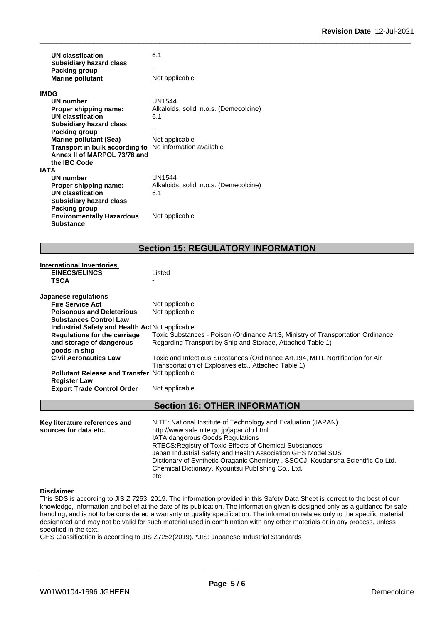| <b>UN classfication</b><br><b>Subsidiary hazard class</b> | 6.1                                    |
|-----------------------------------------------------------|----------------------------------------|
| Packing group<br><b>Marine pollutant</b>                  | Ш<br>Not applicable                    |
| <b>IMDG</b>                                               |                                        |
| <b>UN number</b>                                          | <b>UN1544</b>                          |
| Proper shipping name:                                     | Alkaloids, solid, n.o.s. (Demecolcine) |
| UN classfication                                          | 6.1                                    |
| <b>Subsidiary hazard class</b>                            |                                        |
| Packing group                                             | Ш                                      |
| <b>Marine pollutant (Sea)</b>                             | Not applicable                         |
| Transport in bulk according to                            | No information available               |
| Annex II of MARPOL 73/78 and                              |                                        |
| the IBC Code                                              |                                        |
| <b>IATA</b>                                               |                                        |
| UN number                                                 | <b>UN1544</b>                          |
| Proper shipping name:                                     | Alkaloids, solid, n.o.s. (Demecolcine) |
| <b>UN classfication</b>                                   | 6.1                                    |
| <b>Subsidiary hazard class</b>                            |                                        |
| Packing group                                             | Ш                                      |
| <b>Environmentally Hazardous</b>                          | Not applicable                         |
| Substance                                                 |                                        |

## **Section 15: REGULATORY INFORMATION**

| <b>International Inventories</b>                       |                                                                                  |
|--------------------------------------------------------|----------------------------------------------------------------------------------|
| <b>EINECS/ELINCS</b>                                   | Listed                                                                           |
| <b>TSCA</b>                                            |                                                                                  |
| Japanese regulations                                   |                                                                                  |
| <b>Fire Service Act</b>                                | Not applicable                                                                   |
| <b>Poisonous and Deleterious</b>                       | Not applicable                                                                   |
| <b>Substances Control Law</b>                          |                                                                                  |
| <b>Industrial Safety and Health Act Not applicable</b> |                                                                                  |
| <b>Regulations for the carriage</b>                    | Toxic Substances - Poison (Ordinance Art.3, Ministry of Transportation Ordinance |
| and storage of dangerous                               | Regarding Transport by Ship and Storage, Attached Table 1)                       |
| goods in ship                                          |                                                                                  |
| <b>Civil Aeronautics Law</b>                           | Toxic and Infectious Substances (Ordinance Art.194, MITL Nortification for Air   |
|                                                        | Transportation of Explosives etc., Attached Table 1)                             |
| <b>Pollutant Release and Transfer Not applicable</b>   |                                                                                  |
| <b>Register Law</b>                                    |                                                                                  |
| <b>Export Trade Control Order</b>                      | Not applicable                                                                   |
|                                                        |                                                                                  |
|                                                        | <b>Section 16: OTHER INFORMATION</b>                                             |
| Key literature references and                          | NITE: National Institute of Technology and Evaluation (JAPAN)                    |
| sources for data etc.                                  | http://www.safe.nite.go.jp/japan/db.html                                         |
|                                                        | IATA dangerous Goods Regulations                                                 |
|                                                        | RTECS: Registry of Toxic Effects of Chemical Substances                          |
|                                                        | Japan Industrial Safety and Health Association GHS Model SDS                     |
|                                                        | Dictionary of Synthetic Oraganic Chemistry, SSOCJ, Koudansha Scientific Co.Ltd.  |
|                                                        | Chemical Dictionary, Kyouritsu Publishing Co., Ltd.                              |

#### **Disclaimer**

This SDS is according to JIS Z 7253: 2019. The information provided in this Safety Data Sheet is correct to the best of our knowledge, information and belief at the date of its publication. The information given is designed only as a guidance for safe handling, and is not to be considered a warranty or quality specification. The information relates only to the specific material designated and may not be valid for such material used in combination with any other materials or in any process, unless specified in the text.

GHS Classification is according to JIS Z7252(2019). \*JIS: Japanese Industrial Standards

etc